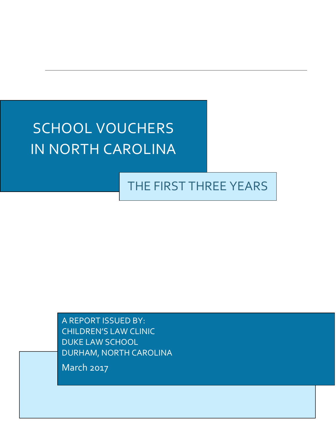# SCHOOL VOUCHERS IN NORTH CAROLINA

# THE FIRST THREE YEARS

A REPORT ISSUED BY: CHILDREN'S LAW CLINIC DUKE LAW SCHOOL DURHAM, NORTH CAROLINA

March 2017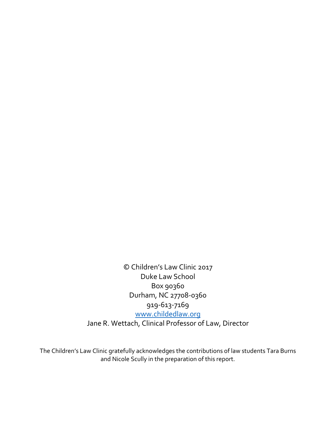© Children's Law Clinic 2017 Duke Law School Box 90360 Durham, NC 27708-0360 919-613-7169 [www.childedlaw.org](http://www.childedlaw.org/) Jane R. Wettach, Clinical Professor of Law, Director

The Children's Law Clinic gratefully acknowledges the contributions of law students Tara Burns and Nicole Scully in the preparation of this report.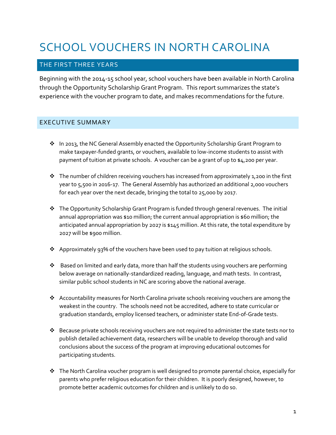# SCHOOL VOUCHERS IN NORTH CAROLINA

#### THE FIRST THREE YEARS

Beginning with the 2014-15 school year, school vouchers have been available in North Carolina through the Opportunity Scholarship Grant Program. This report summarizes the state's experience with the voucher program to date, and makes recommendations for the future.

#### EXECUTIVE SUMMARY

- \* In 2013, the NC General Assembly enacted the Opportunity Scholarship Grant Program to make taxpayer-funded grants, or vouchers, available to low-income students to assist with payment of tuition at private schools. A voucher can be a grant of up to \$4,200 per year.
- $\cdot \cdot$  The number of children receiving vouchers has increased from approximately 1,200 in the first year to 5,500 in 2016-17. The General Assembly has authorized an additional 2,000 vouchers for each year over the next decade, bringing the total to 25,000 by 2017.
- $\cdot \cdot$  The Opportunity Scholarship Grant Program is funded through general revenues. The initial annual appropriation was \$10 million; the current annual appropriation is \$60 million; the anticipated annual appropriation by 2027 is \$145 million. At this rate, the total expenditure by 2027 will be \$900 million.
- $\clubsuit$  Approximately 93% of the vouchers have been used to pay tuition at religious schools.
- Based on limited and early data, more than half the students using vouchers are performing below average on nationally-standardized reading, language, and math tests. In contrast, similar public school students in NC are scoring above the national average.
- Accountability measures for North Carolina private schools receiving vouchers are among the weakest in the country. The schools need not be accredited, adhere to state curricular or graduation standards, employ licensed teachers, or administer state End-of-Grade tests.
- $\triangle$  Because private schools receiving vouchers are not required to administer the state tests nor to publish detailed achievement data, researchers will be unable to develop thorough and valid conclusions about the success of the program at improving educational outcomes for participating students.
- $\cdot \cdot$  The North Carolina voucher program is well designed to promote parental choice, especially for parents who prefer religious education for their children. It is poorly designed, however, to promote better academic outcomes for children and is unlikely to do so.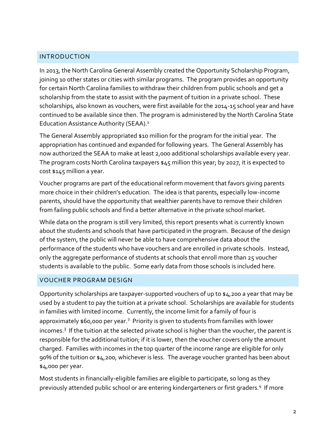#### INTRODUCTION

In 2013, the North Carolina General Assembly created the Opportunity Scholarship Program, joining 10 other states or cities with similar programs. The program provides an opportunity for certain North Carolina families to withdraw their children from public schools and get a scholarship from the state to assist with the payment of tuition in a private school. These scholarships, also known as vouchers, were first available for the 2014-15 school year and have continued to be available since then. The program is administered by the North Carolina State Education Assistance Authority (SEAA).<sup>1</sup>

The General Assembly appropriated \$10 million for the program for the initial year. The appropriation has continued and expanded for following years. The General Assembly has now authorized the SEAA to make at least 2,000 additional scholarships available every year. The program costs North Carolina taxpayers \$45 million this year; by 2027, it is expected to cost \$145 million a year.

Voucher programs are part of the educational reform movement that favors giving parents more choice in their children's education. The idea is that parents, especially low-income parents, should have the opportunity that wealthier parents have to remove their children from failing public schools and find a better alternative in the private school market.

While data on the program is still very limited, this report presents what is currently known about the students and schools that have participated in the program. Because of the design of the system, the public will never be able to have comprehensive data about the performance of the students who have vouchers and are enrolled in private schools. Instead, only the aggregate performance of students at schools that enroll more than 25 voucher students is available to the public. Some early data from those schools is included here.

#### VOUCHER PROGRAM DESIGN

Opportunity scholarships are taxpayer-supported vouchers of up to \$4,200 a year that may be used by a student to pay the tuition at a private school. Scholarships are available for students in families with limited income. Currently, the income limit for a family of four is approximately \$60,000 per year.<sup>2</sup> Priority is given to students from families with lower incomes.<sup>3</sup> If the tuition at the selected private school is higher than the voucher, the parent is responsible for the additional tuition; if it is lower, then the voucher covers only the amount charged. Families with incomes in the top quarter of the income range are eligible for only 90% of the tuition or \$4,200, whichever is less. The average voucher granted has been about \$4,000 per year.

Most students in financially-eligible families are eligible to participate, so long as they previously attended public school or are entering kindergarteners or first graders.<sup>4</sup> If more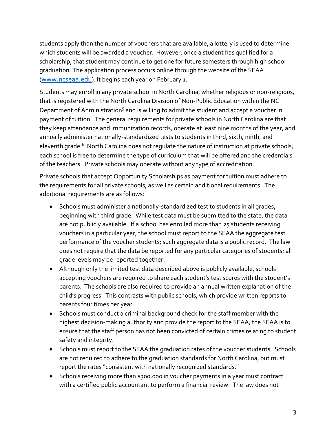students apply than the number of vouchers that are available, a lottery is used to determine which students will be awarded a voucher. However, once a student has qualified for a scholarship, that student may continue to get one for future semesters through high school graduation. The application process occurs online through the website of the SEAA ([www.ncseaa.edu](http://www.ncseaa.edu/)). It begins each year on February 1.

Students may enroll in any private school in North Carolina, whether religious or non-religious, that is registered with the North Carolina Division of Non-Public Education within the NC Department of Administration<sup>5</sup> and is willing to admit the student and accept a voucher in payment of tuition. The general requirements for private schools in North Carolina are that they keep attendance and immunization records, operate at least nine months of the year, and annually administer nationally-standardized tests to students in third, sixth, ninth, and eleventh grade.<sup>6</sup> North Carolina does not regulate the nature of instruction at private schools; each school is free to determine the type of curriculum that will be offered and the credentials of the teachers. Private schools may operate without any type of accreditation.

Private schools that accept Opportunity Scholarships as payment for tuition must adhere to the requirements for all private schools, as well as certain additional requirements. The additional requirements are as follows:

- Schools must administer a nationally-standardized test to students in all grades, beginning with third grade. While test data must be submitted to the state, the data are not publicly available. If a school has enrolled more than 25 students receiving vouchers in a particular year, the school must report to the SEAA the aggregate test performance of the voucher students; such aggregate data is a public record. The law does not require that the data be reported for any particular categories of students; all grade levels may be reported together.
- Although only the limited test data described above is publicly available, schools accepting vouchers are required to share each student's test scores with the student's parents. The schools are also required to provide an annual written explanation of the child's progress. This contrasts with public schools, which provide written reports to parents four times per year.
- Schools must conduct a criminal background check for the staff member with the highest decision-making authority and provide the report to the SEAA; the SEAA is to ensure that the staff person has not been convicted of certain crimes relating to student safety and integrity.
- Schools must report to the SEAA the graduation rates of the voucher students. Schools are not required to adhere to the graduation standards for North Carolina, but must report the rates "consistent with nationally recognized standards."
- Schools receiving more than \$300,000 in voucher payments in a year must contract with a certified public accountant to perform a financial review. The law does not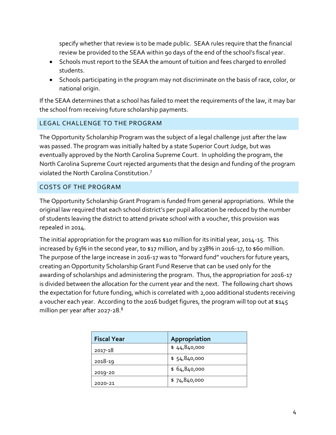specify whether that review is to be made public. SEAA rules require that the financial review be provided to the SEAA within 90 days of the end of the school's fiscal year.

- Schools must report to the SEAA the amount of tuition and fees charged to enrolled students.
- Schools participating in the program may not discriminate on the basis of race, color, or national origin.

If the SEAA determines that a school has failed to meet the requirements of the law, it may bar the school from receiving future scholarship payments.

# LEGAL CHALLENGE TO THE PROGRAM

The Opportunity Scholarship Program was the subject of a legal challenge just after the law was passed. The program was initially halted by a state Superior Court Judge, but was eventually approved by the North Carolina Supreme Court. In upholding the program, the North Carolina Supreme Court rejected arguments that the design and funding of the program violated the North Carolina Constitution. 7

# COSTS OF THE PROGRAM

The Opportunity Scholarship Grant Program is funded from general appropriations. While the original law required that each school district's per pupil allocation be reduced by the number of students leaving the district to attend private school with a voucher, this provision was repealed in 2014.

The initial appropriation for the program was \$10 million for its initial year, 2014-15. This increased by 63% in the second year, to \$17 million, and by 238% in 2016-17, to \$60 million. The purpose of the large increase in 2016-17 was to "forward fund" vouchers for future years, creating an Opportunity Scholarship Grant Fund Reserve that can be used only for the awarding of scholarships and administering the program. Thus, the appropriation for 2016-17 is divided between the allocation for the current year and the next. The following chart shows the expectation for future funding, which is correlated with 2,000 additional students receiving a voucher each year. According to the 2016 budget figures, the program will top out at \$145 million per year after 2027-28.<sup>8</sup>

| <b>Fiscal Year</b> | Appropriation |
|--------------------|---------------|
| 2017-18            | \$44,840,000  |
| 2018-19            | \$54,840,000  |
| 2019-20            | \$64,840,000  |
| 2020-21            | \$74,840,000  |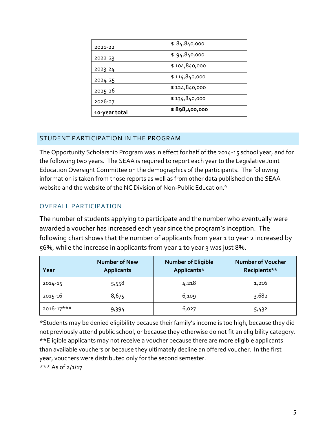| 2021-22       | \$84,840,000  |
|---------------|---------------|
| 2022-23       | \$94,840,000  |
| 2023-24       | \$104,840,000 |
| $2024 - 25$   | \$114,840,000 |
| 2025-26       | \$124,840,000 |
| 2026-27       | \$134,840,000 |
| 10-year total | \$898,400,000 |

#### STUDENT PARTICIPATION IN THE PROGRAM

The Opportunity Scholarship Program was in effect for half of the 2014-15 school year, and for the following two years. The SEAA is required to report each year to the Legislative Joint Education Oversight Committee on the demographics of the participants. The following information is taken from those reports as well as from other data published on the SEAA website and the website of the NC Division of Non-Public Education.<sup>9</sup>

#### OVERALL PARTICIPATION

The number of students applying to participate and the number who eventually were awarded a voucher has increased each year since the program's inception. The following chart shows that the number of applicants from year 1 to year 2 increased by 56%, while the increase in applicants from year 2 to year 3 was just 8%.

| Year           | <b>Number of New</b><br><b>Applicants</b> | <b>Number of Eligible</b><br>Applicants* | <b>Number of Voucher</b><br>Recipients** |
|----------------|-------------------------------------------|------------------------------------------|------------------------------------------|
| 2014-15        | 5,558                                     | 4,218                                    | 1,216                                    |
| 2015-16        | 8,675                                     | 6,109                                    | 3,682                                    |
| $2016 - 17***$ | 9,394                                     | 6,027                                    | 5,432                                    |

\*Students may be denied eligibility because their family's income is too high, because they did not previously attend public school, or because they otherwise do not fit an eligibility category. \*\*Eligible applicants may not receive a voucher because there are more eligible applicants than available vouchers or because they ultimately decline an offered voucher. In the first year, vouchers were distributed only for the second semester. \*\*\* As of 2/1/17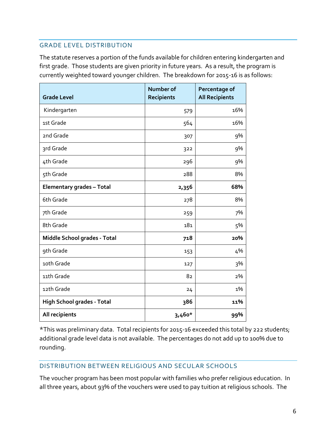#### GRADE LEVEL DISTRIBUTION

The statute reserves a portion of the funds available for children entering kindergarten and first grade. Those students are given priority in future years. As a result, the program is currently weighted toward younger children. The breakdown for 2015-16 is as follows:

| <b>Grade Level</b>                | Number of<br><b>Recipients</b> | Percentage of<br><b>All Recipients</b> |
|-----------------------------------|--------------------------------|----------------------------------------|
| Kindergarten                      | 579                            | 16%                                    |
| 1st Grade                         | 564                            | 16%                                    |
| 2nd Grade                         | 307                            | 9%                                     |
| 3rd Grade                         | 322                            | 9%                                     |
| 4th Grade                         | 296                            | 9%                                     |
| 5th Grade                         | 288                            | 8%                                     |
| <b>Elementary grades - Total</b>  | 2,356                          | 68%                                    |
| 6th Grade                         | 278                            | 8%                                     |
| 7th Grade                         | 259                            | 7%                                     |
| 8th Grade                         | 181                            | 5%                                     |
| Middle School grades - Total      | 718                            | 20%                                    |
| 9th Grade                         | 153                            | 4%                                     |
| 10th Grade                        | 127                            | 3%                                     |
| 11th Grade                        | 82                             | 2%                                     |
| 12th Grade                        | 24                             | 1%                                     |
| <b>High School grades - Total</b> | 386                            | 11%                                    |
| All recipients                    | 3,460*                         | 99%                                    |

\*This was preliminary data. Total recipients for 2015-16 exceeded this total by 222 students; additional grade level data is not available. The percentages do not add up to 100% due to rounding.

#### DISTRIBUTION BETWEEN RELIGIOUS AND SECULAR SCHOOLS

The voucher program has been most popular with families who prefer religious education. In all three years, about 93% of the vouchers were used to pay tuition at religious schools. The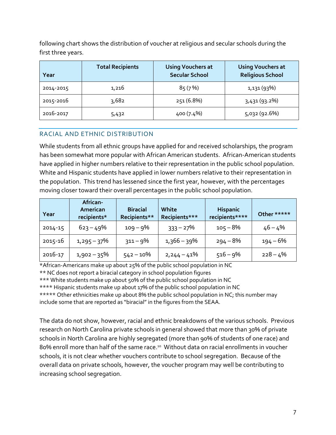following chart shows the distribution of voucher at religious and secular schools during the first three years.

| Year      | <b>Total Recipients</b> | <b>Using Vouchers at</b><br><b>Secular School</b> | <b>Using Vouchers at</b><br><b>Religious School</b> |
|-----------|-------------------------|---------------------------------------------------|-----------------------------------------------------|
| 2014-2015 | 1,216                   | 85(7%)                                            | 1,131 (93%)                                         |
| 2015-2016 | 3,682                   | 251 (6.8%)                                        | 3,431(93.2%)                                        |
| 2016-2017 | 5,432                   | 400 (7.4%)                                        | 5,032 (92.6%)                                       |

# RACIAL AND ETHNIC DISTRIBUTION

While students from all ethnic groups have applied for and received scholarships, the program has been somewhat more popular with African American students. African-American students have applied in higher numbers relative to their representation in the public school population. White and Hispanic students have applied in lower numbers relative to their representation in the population. This trend has lessened since the first year, however, with the percentages moving closer toward their overall percentages in the public school population.

| Year    | African-<br>American<br>recipients* | <b>Biracial</b><br>Recipients** | White<br>Recipients*** | <b>Hispanic</b><br>recipients**** | Other ***** |
|---------|-------------------------------------|---------------------------------|------------------------|-----------------------------------|-------------|
| 2014-15 | $623 - 49%$                         | $109 - 9%$                      | $333 - 27%$            | $105 - 8\%$                       | 46 – 4%     |
| 2015-16 | $1,295 - 37\%$                      | $311 - 9%$                      | $1,366 - 39\%$         | $294 - 8%$                        | 194 – 6%    |
| 2016-17 | $1,902 - 35\%$                      | $542 - 10\%$                    | $2,244 - 41\%$         | $516 - 9%$                        | $228 - 4%$  |

\*African-Americans make up about 25% of the public school population in NC \*\* NC does not report a biracial category in school population figures \*\*\* White students make up about 50% of the public school population in NC \*\*\*\* Hispanic students make up about 17% of the public school population in NC \*\*\*\*\* Other ethnicities make up about 8% the public school population in NC; this number may include some that are reported as "biracial" in the figures from the SEAA.

The data do not show, however, racial and ethnic breakdowns of the various schools. Previous research on North Carolina private schools in general showed that more than 30% of private schools in North Carolina are highly segregated (more than 90% of students of one race) and 80% enroll more than half of the same race.<sup>10</sup> Without data on racial enrollments in voucher schools, it is not clear whether vouchers contribute to school segregation. Because of the overall data on private schools, however, the voucher program may well be contributing to increasing school segregation.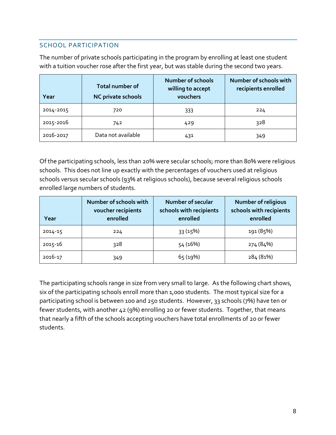# SCHOOL PARTICIPATION

The number of private schools participating in the program by enrolling at least one student with a tuition voucher rose after the first year, but was stable during the second two years.

| Year      | <b>Total number of</b><br>NC private schools | <b>Number of schools</b><br>willing to accept<br>vouchers | Number of schools with<br>recipients enrolled |
|-----------|----------------------------------------------|-----------------------------------------------------------|-----------------------------------------------|
| 2014-2015 | 720                                          | 333                                                       | 224                                           |
| 2015-2016 | 742                                          | 429                                                       | 328                                           |
| 2016-2017 | Data not available                           | 431                                                       | 349                                           |

Of the participating schools, less than 20% were secular schools; more than 80% were religious schools. This does not line up exactly with the percentages of vouchers used at religious schools versus secular schools (93% at religious schools), because several religious schools enrolled large numbers of students.

| Year    | Number of schools with<br>voucher recipients<br>enrolled | <b>Number of secular</b><br>schools with recipients<br>enrolled | <b>Number of religious</b><br>schools with recipients<br>enrolled |
|---------|----------------------------------------------------------|-----------------------------------------------------------------|-------------------------------------------------------------------|
| 2014-15 | 224                                                      | 33 (15%)                                                        | 191 (85%)                                                         |
| 2015-16 | 328                                                      | 54 (16%)                                                        | 274 (84%)                                                         |
| 2016-17 | 349                                                      | 65(19%)                                                         | 284 (81%)                                                         |

The participating schools range in size from very small to large. As the following chart shows, six of the participating schools enroll more than 1,000 students. The most typical size for a participating school is between 100 and 250 students. However, 33 schools (7%) have ten or fewer students, with another 42 (9%) enrolling 20 or fewer students. Together, that means that nearly a fifth of the schools accepting vouchers have total enrollments of 20 or fewer students.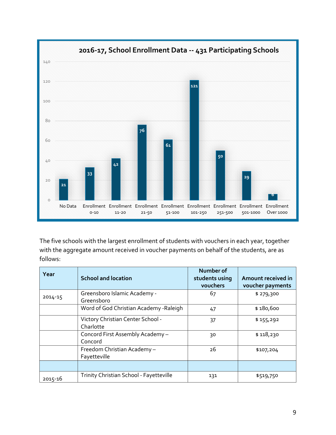

The five schools with the largest enrollment of students with vouchers in each year, together with the aggregate amount received in voucher payments on behalf of the students, are as follows:

| Year    | <b>School and location</b>                     | Number of<br>students using<br>vouchers | Amount received in<br>voucher payments |
|---------|------------------------------------------------|-----------------------------------------|----------------------------------------|
| 2014-15 | Greensboro Islamic Academy -<br>Greensboro     | 67                                      | \$279,300                              |
|         | Word of God Christian Academy - Raleigh        | 47                                      | \$180,600                              |
|         | Victory Christian Center School -<br>Charlotte | 37                                      | \$155,292                              |
|         | Concord First Assembly Academy -<br>Concord    | 30                                      | \$118,230                              |
|         | Freedom Christian Academy-<br>Fayetteville     | 26                                      | \$107,204                              |
|         |                                                |                                         |                                        |
| 2015-16 | Trinity Christian School - Fayetteville        | 131                                     | \$519,750                              |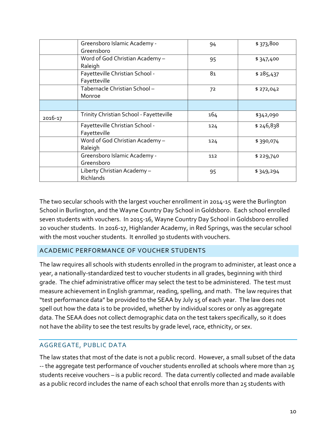|         | Greensboro Islamic Academy -<br>Greensboro      | 94  | \$373,800 |
|---------|-------------------------------------------------|-----|-----------|
|         | Word of God Christian Academy -<br>Raleigh      | 95  | \$347,400 |
|         | Fayetteville Christian School -<br>Fayetteville | 81  | \$285,437 |
|         | Tabernacle Christian School-<br>Monroe          | 72  | \$272,042 |
|         |                                                 |     |           |
| 2016-17 | Trinity Christian School - Fayetteville         | 164 | \$342,090 |
|         | Fayetteville Christian School -<br>Fayetteville | 124 | \$246,838 |
|         | Word of God Christian Academy -<br>Raleigh      | 124 | \$390,074 |
|         | Greensboro Islamic Academy -<br>Greensboro      | 112 | \$229,740 |
|         | Liberty Christian Academy-<br>Richlands         | 95  | \$349,294 |

The two secular schools with the largest voucher enrollment in 2014-15 were the Burlington School in Burlington, and the Wayne Country Day School in Goldsboro. Each school enrolled seven students with vouchers. In 2015-16, Wayne Country Day School in Goldsboro enrolled 20 voucher students. In 2016-17, Highlander Academy, in Red Springs, was the secular school with the most voucher students. It enrolled 30 students with vouchers.

# ACADEMIC PERFORMANCE OF VOUCHER STUDENTS

The law requires all schools with students enrolled in the program to administer, at least once a year, a nationally-standardized test to voucher students in all grades, beginning with third grade. The chief administrative officer may select the test to be administered. The test must measure achievement in English grammar, reading, spelling, and math. The law requires that "test performance data" be provided to the SEAA by July 15 of each year. The law does not spell out how the data is to be provided, whether by individual scores or only as aggregate data. The SEAA does not collect demographic data on the test takers specifically, so it does not have the ability to see the test results by grade level, race, ethnicity, or sex.

#### AGGREGATE, PUBLIC DATA

The law states that most of the date is not a public record. However, a small subset of the data -- the aggregate test performance of voucher students enrolled at schools where more than 25 students receive vouchers – is a public record. The data currently collected and made available as a public record includes the name of each school that enrolls more than 25 students with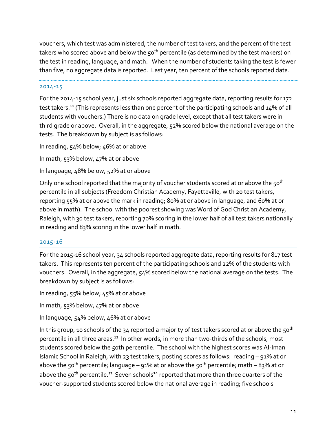vouchers, which test was administered, the number of test takers, and the percent of the test takers who scored above and below the 50<sup>th</sup> percentile (as determined by the test makers) on the test in reading, language, and math. When the number of students taking the test is fewer than five, no aggregate data is reported. Last year, ten percent of the schools reported data.

#### 2014-15

For the 2014-15 school year, just six schools reported aggregate data, reporting results for 172 test takers.<sup>11</sup> (This represents less than one percent of the participating schools and 14% of all students with vouchers.) There is no data on grade level, except that all test takers were in third grade or above. Overall, in the aggregate, 52% scored below the national average on the tests. The breakdown by subject is as follows:

In reading, 54% below; 46% at or above

In math, 53% below, 47% at or above

In language, 48% below, 52% at or above

Only one school reported that the majority of voucher students scored at or above the 50<sup>th</sup> percentile in all subjects (Freedom Christian Academy, Fayetteville, with 20 test takers, reporting 55% at or above the mark in reading; 80% at or above in language, and 60% at or above in math). The school with the poorest showing was Word of God Christian Academy, Raleigh, with 30 test takers, reporting 70% scoring in the lower half of all test takers nationally in reading and 83% scoring in the lower half in math.

#### 2015-16

For the 2015-16 school year, 34 schools reported aggregate data, reporting results for 817 test takers. This represents ten percent of the participating schools and 22% of the students with vouchers. Overall, in the aggregate, 54% scored below the national average on the tests. The breakdown by subject is as follows:

In reading, 55% below; 45% at or above

In math, 53% below, 47% at or above

In language, 54% below, 46% at or above

In this group, 10 schools of the 34 reported a majority of test takers scored at or above the 50<sup>th</sup> percentile in all three areas.<sup>12</sup> In other words, in more than two-thirds of the schools, most students scored below the 50th percentile. The school with the highest scores was Al-Iman Islamic School in Raleigh, with 23 test takers, posting scores as follows: reading – 91% at or above the 50<sup>th</sup> percentile; language – 91% at or above the 50<sup>th</sup> percentile; math – 83% at or above the 50<sup>th</sup> percentile.<sup>13</sup> Seven schools<sup>14</sup> reported that more than three quarters of the voucher-supported students scored below the national average in reading; five schools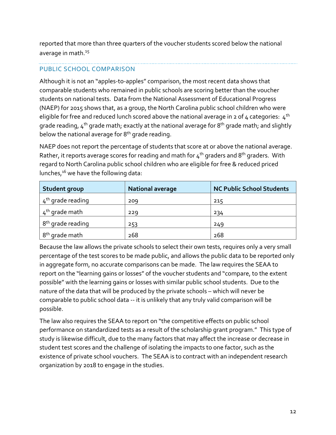reported that more than three quarters of the voucher students scored below the national average in math.<sup>15</sup>

# PUBLIC SCHOOL COMPARISON

Although it is not an "apples-to-apples" comparison, the most recent data shows that comparable students who remained in public schools are scoring better than the voucher students on national tests. Data from the National Assessment of Educational Progress (NAEP) for 2015 shows that, as a group, the North Carolina public school children who were eligible for free and reduced lunch scored above the national average in 2 of 4 categories:  $4<sup>th</sup>$ grade reading,  $4<sup>th</sup>$  grade math; exactly at the national average for 8<sup>th</sup> grade math; and slightly below the national average for 8<sup>th</sup> grade reading.

NAEP does not report the percentage of students that score at or above the national average. Rather, it reports average scores for reading and math for  $4^{th}$  graders and 8<sup>th</sup> graders. With regard to North Carolina public school children who are eligible for free & reduced priced lunches,<sup>16</sup> we have the following data:

| Student group                 | <b>National average</b> | <b>NC Public School Students</b> |
|-------------------------------|-------------------------|----------------------------------|
| $4th$ grade reading           | 209                     | 215                              |
| 4 <sup>th</sup> grade math    | 229                     | 234                              |
| 8 <sup>th</sup> grade reading | 253                     | 249                              |
| 8 <sup>th</sup> grade math    | 268                     | 268                              |

Because the law allows the private schools to select their own tests, requires only a very small percentage of the test scores to be made public, and allows the public data to be reported only in aggregate form, no accurate comparisons can be made. The law requires the SEAA to report on the "learning gains or losses" of the voucher students and "compare, to the extent possible" with the learning gains or losses with similar public school students. Due to the nature of the data that will be produced by the private schools – which will never be comparable to public school data -- it is unlikely that any truly valid comparison will be possible.

The law also requires the SEAA to report on "the competitive effects on public school performance on standardized tests as a result of the scholarship grant program." This type of study is likewise difficult, due to the many factors that may affect the increase or decrease in student test scores and the challenge of isolating the impacts to one factor, such as the existence of private school vouchers. The SEAA is to contract with an independent research organization by 2018 to engage in the studies.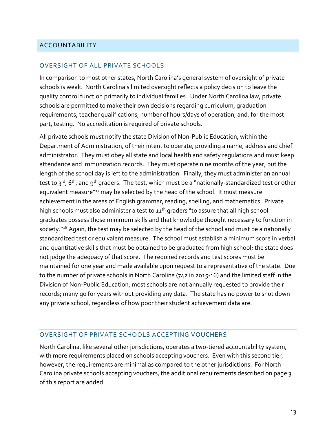#### ACCOUNTABILITY

#### OVERSIGHT OF ALL PRIVATE SCHOOLS

In comparison to most other states, North Carolina's general system of oversight of private schools is weak. North Carolina's limited oversight reflects a policy decision to leave the quality control function primarily to individual families. Under North Carolina law, private schools are permitted to make their own decisions regarding curriculum, graduation requirements, teacher qualifications, number of hours/days of operation, and, for the most part, testing. No accreditation is required of private schools.

All private schools must notify the state Division of Non-Public Education, within the Department of Administration, of their intent to operate, providing a name, address and chief administrator. They must obey all state and local health and safety regulations and must keep attendance and immunization records. They must operate nine months of the year, but the length of the school day is left to the administration. Finally, they must administer an annual test to  $3^{rd}$ , 6<sup>th</sup>, and 9<sup>th</sup> graders. The test, which must be a "nationally-standardized test or other equivalent measure"<sup>17</sup> may be selected by the head of the school. It must measure achievement in the areas of English grammar, reading, spelling, and mathematics. Private high schools must also administer a test to  $11<sup>th</sup>$  graders "to assure that all high school graduates possess those minimum skills and that knowledge thought necessary to function in society."<sup>18</sup> Again, the test may be selected by the head of the school and must be a nationally standardized test or equivalent measure. The school must establish a minimum score in verbal and quantitative skills that must be obtained to be graduated from high school; the state does not judge the adequacy of that score. The required records and test scores must be maintained for one year and made available upon request to a representative of the state. Due to the number of private schools in North Carolina (742 in 2015-16) and the limited staff in the Division of Non-Public Education, most schools are not annually requested to provide their records; many go for years without providing any data. The state has no power to shut down any private school, regardless of how poor their student achievement data are.

#### OVERSIGHT OF PRIVATE SCHOOLS ACCEPTING VOUCHERS

North Carolina, like several other jurisdictions, operates a two-tiered accountability system, with more requirements placed on schools accepting vouchers. Even with this second tier, however, the requirements are minimal as compared to the other jurisdictions. For North Carolina private schools accepting vouchers, the additional requirements described on page 3 of this report are added.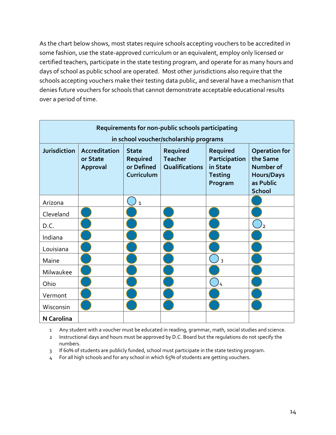As the chart below shows, most states require schools accepting vouchers to be accredited in some fashion, use the state-approved curriculum or an equivalent, employ only licensed or certified teachers, participate in the state testing program, and operate for as many hours and days of school as public school are operated. Most other jurisdictions also require that the schools accepting vouchers make their testing data public, and several have a mechanism that denies future vouchers for schools that cannot demonstrate acceptable educational results over a period of time.

| Requirements for non-public schools participating |                                       |                                                      |                                              |                                                                    |                                                                                                  |
|---------------------------------------------------|---------------------------------------|------------------------------------------------------|----------------------------------------------|--------------------------------------------------------------------|--------------------------------------------------------------------------------------------------|
|                                                   |                                       |                                                      | in school voucher/scholarship programs       |                                                                    |                                                                                                  |
| <b>Jurisdiction</b>                               | Accreditation<br>or State<br>Approval | <b>State</b><br>Required<br>or Defined<br>Curriculum | Required<br><b>Teacher</b><br>Qualifications | Required<br>Participation<br>in State<br><b>Testing</b><br>Program | <b>Operation for</b><br>the Same<br>Number of<br><b>Hours/Days</b><br>as Public<br><b>School</b> |
| Arizona                                           |                                       | $\mathbf{1}$                                         |                                              |                                                                    |                                                                                                  |
| Cleveland                                         |                                       |                                                      |                                              |                                                                    |                                                                                                  |
| D.C.                                              |                                       |                                                      |                                              |                                                                    | フ                                                                                                |
| Indiana                                           |                                       |                                                      |                                              |                                                                    |                                                                                                  |
| Louisiana                                         |                                       |                                                      |                                              |                                                                    |                                                                                                  |
| Maine                                             |                                       |                                                      |                                              | $\overline{3}$                                                     |                                                                                                  |
| Milwaukee                                         |                                       |                                                      |                                              |                                                                    |                                                                                                  |
| Ohio                                              |                                       |                                                      |                                              | 4                                                                  |                                                                                                  |
| Vermont                                           |                                       |                                                      |                                              |                                                                    |                                                                                                  |
| Wisconsin                                         |                                       |                                                      |                                              |                                                                    |                                                                                                  |
| <b>N</b> Carolina                                 |                                       |                                                      |                                              |                                                                    |                                                                                                  |

- 1 Any student with a voucher must be educated in reading, grammar, math, social studies and science.
- 2 Instructional days and hours must be approved by D.C. Board but the regulations do not specify the numbers.
- 3 If 60% of students are publicly funded, school must participate in the state testing program.
- 4 For all high schools and for any school in which 65% of students are getting vouchers.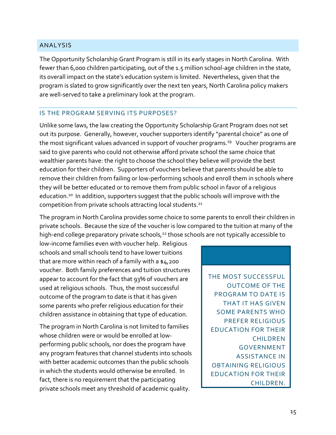#### ANALYSIS

The Opportunity Scholarship Grant Program is still in its early stages in North Carolina. With fewer than 6,000 children participating, out of the 1.5 million school-age children in the state, its overall impact on the state's education system is limited. Nevertheless, given that the program is slated to grow significantly over the next ten years, North Carolina policy makers are well-served to take a preliminary look at the program.

#### IS THE PROGRAM SERVING ITS PURPOSES?

Unlike some laws, the law creating the Opportunity Scholarship Grant Program does not set out its purpose. Generally, however, voucher supporters identify "parental choice" as one of the most significant values advanced in support of voucher programs.<sup>19</sup> Voucher programs are said to give parents who could not otherwise afford private school the same choice that wealthier parents have: the right to choose the school they believe will provide the best education for their children. Supporters of vouchers believe that parents should be able to remove their children from failing or low-performing schools and enroll them in schools where they will be better educated or to remove them from public school in favor of a religious education.<sup>20</sup> In addition, supporters suggest that the public schools will improve with the competition from private schools attracting local students.<sup>21</sup>

The program in North Carolina provides some choice to some parents to enroll their children in private schools. Because the size of the voucher is low compared to the tuition at many of the high-end college preparatory private schools,<sup>22</sup> those schools are not typically accessible to

low-income families even with voucher help. Religious schools and small schools tend to have lower tuitions that are more within reach of a family with a  $a_4$ , 200 voucher. Both family preferences and tuition structures appear to account for the fact that 93% of vouchers are used at religious schools. Thus, the most successful outcome of the program to date is that it has given some parents who prefer religious education for their children assistance in obtaining that type of education.

The program in North Carolina is not limited to families whose children were or would be enrolled at lowperforming public schools, nor does the program have any program features that channel students into schools with better academic outcomes than the public schools in which the students would otherwise be enrolled. In fact, there is no requirement that the participating private schools meet any threshold of academic quality.

THE MOST SUCCESSFUL OUTCOME OF THE PROGRAM TO DATE IS THAT IT HAS GIVEN SOME PARENTS WHO PREFER RELIGIOUS EDUCATION FOR THEIR CHILDREN GOVERNMENT ASSISTANCE IN OBTAINING RELIGIOUS EDUCATION FOR THEIR CHILDREN.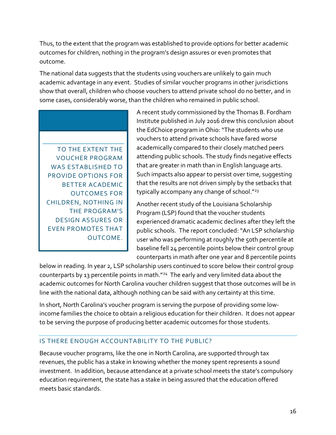Thus, to the extent that the program was established to provide options for better academic outcomes for children, nothing in the program's design assures or even promotes that outcome.

The national data suggests that the students using vouchers are unlikely to gain much academic advantage in any event. Studies of similar voucher programs in other jurisdictions show that overall, children who choose vouchers to attend private school do no better, and in some cases, considerably worse, than the children who remained in public school.

TO THE EXTENT THE VOUCHER PROGRAM WAS ESTABLISHED TO PROVIDE OPTIONS FOR BETTER ACADEMIC OUTCOMES FOR CHILDREN, NOTHING IN THE PROGRAM'S DESIGN ASSURES OR EVEN PROMOTES THAT OUTCOME.

A recent study commissioned by the Thomas B. Fordham Institute published in July 2016 drew this conclusion about the EdChoice program in Ohio: "The students who use vouchers to attend private schools have fared worse academically compared to their closely matched peers attending public schools. The study finds negative effects that are greater in math than in English language arts. Such impacts also appear to persist over time, suggesting that the results are not driven simply by the setbacks that typically accompany any change of school."<sup>23</sup>

Another recent study of the Louisiana Scholarship Program (LSP) found that the voucher students experienced dramatic academic declines after they left the public schools. The report concluded: "An LSP scholarship user who was performing at roughly the 50th percentile at baseline fell 24 percentile points below their control group counterparts in math after one year and 8 percentile points

below in reading. In year 2, LSP scholarship users continued to score below their control group counterparts by 13 percentile points in math."<sup>24</sup> The early and very limited data about the academic outcomes for North Carolina voucher children suggest that those outcomes will be in line with the national data, although nothing can be said with any certainty at this time.

In short, North Carolina's voucher program is serving the purpose of providing some lowincome families the choice to obtain a religious education for their children. It does not appear to be serving the purpose of producing better academic outcomes for those students.

# IS THERE ENOUGH ACCOUNTABILITY TO THE PUBLIC?

Because voucher programs, like the one in North Carolina, are supported through tax revenues, the public has a stake in knowing whether the money spent represents a sound investment. In addition, because attendance at a private school meets the state's compulsory education requirement, the state has a stake in being assured that the education offered meets basic standards.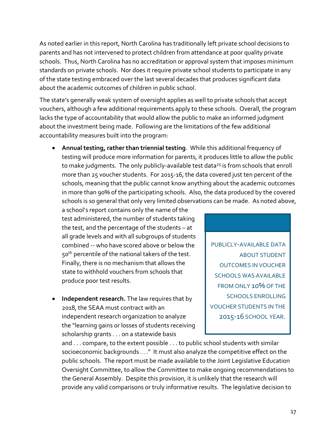As noted earlier in this report, North Carolina has traditionally left private school decisions to parents and has not intervened to protect children from attendance at poor quality private schools. Thus, North Carolina has no accreditation or approval system that imposes minimum standards on private schools. Nor does it require private school students to participate in any of the state testing embraced over the last several decades that produces significant data about the academic outcomes of children in public school.

The state's generally weak system of oversight applies as well to private schools that accept vouchers, although a few additional requirements apply to these schools. Overall, the program lacks the type of accountability that would allow the public to make an informed judgment about the investment being made. Following are the limitations of the few additional accountability measures built into the program:

 **Annual testing, rather than triennial testing**. While this additional frequency of testing will produce more information for parents, it produces little to allow the public to make judgments. The only publicly-available test data<sup>25</sup> is from schools that enroll more than 25 voucher students. For 2015-16, the data covered just ten percent of the schools, meaning that the public cannot know anything about the academic outcomes in more than 90% of the participating schools. Also, the data produced by the covered schools is so general that only very limited observations can be made. As noted above,

a school's report contains only the name of the test administered, the number of students taking the test, and the percentage of the students – at all grade levels and with all subgroups of students combined -- who have scored above or below the 50<sup>th</sup> percentile of the national takers of the test. Finally, there is no mechanism that allows the state to withhold vouchers from schools that produce poor test results.

 **Independent research.** The law requires that by 2018, the SEAA must contract with an independent research organization to analyze the "learning gains or losses of students receiving scholarship grants . . . on a statewide basis

PUBLICLY-AVAILABLE DATA ABOUT STUDENT OUTCOMES IN VOUCHER SCHOOLS WAS AVAILABLE FROM ONLY 10% OF THE SCHOOLS ENROLLING VOUCHER STUDENTS IN THE 2015-16 SCHOOL YEAR.

and . . . compare, to the extent possible . . . to public school students with similar socioeconomic backgrounds . . ." It must also analyze the competitive effect on the public schools. The report must be made available to the Joint Legislative Education Oversight Committee, to allow the Committee to make ongoing recommendations to the General Assembly. Despite this provision, it is unlikely that the research will provide any valid comparisons or truly informative results. The legislative decision to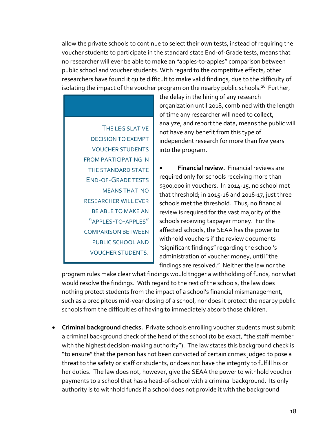allow the private schools to continue to select their own tests, instead of requiring the voucher students to participate in the standard state End-of-Grade tests, means that no researcher will ever be able to make an "apples-to-apples" comparison between public school and voucher students. With regard to the competitive effects, other researchers have found it quite difficult to make valid findings, due to the difficulty of isolating the impact of the voucher program on the nearby public schools.<sup>26</sup> Further,

THE LEGISLATIVE DECISION TO EXEMPT VOUCHER STUDENTS FROM PARTICIPATING IN THE STANDARD STATE END-OF-GRADE TESTS MEANS THAT NO RESEARCHER WILL EVER BE ABLE TO MAKE AN "APPLES-TO-APPLES" COMPARISON BETWEEN PUBLIC SCHOOL AND VOUCHER STUDENTS. the delay in the hiring of any research organization until 2018, combined with the length of time any researcher will need to collect, analyze, and report the data, means the public will not have any benefit from this type of independent research for more than five years into the program.

 **Financial review.** Financial reviews are required only for schools receiving more than \$300,000 in vouchers. In 2014-15, no school met that threshold; in 2015-16 and 2016-17, just three schools met the threshold. Thus, no financial review is required for the vast majority of the schools receiving taxpayer money. For the affected schools, the SEAA has the power to withhold vouchers if the review documents "significant findings" regarding the school's administration of voucher money, until "the findings are resolved." Neither the law nor the

program rules make clear what findings would trigger a withholding of funds, nor what would resolve the findings. With regard to the rest of the schools, the law does nothing protect students from the impact of a school's financial mismanagement, such as a precipitous mid-year closing of a school, nor does it protect the nearby public schools from the difficulties of having to immediately absorb those children.

 **Criminal background checks.** Private schools enrolling voucher students must submit a criminal background check of the head of the school (to be exact, "the staff member with the highest decision-making authority"). The law states this background check is "to ensure" that the person has not been convicted of certain crimes judged to pose a threat to the safety or staff or students, or does not have the integrity to fulfill his or her duties. The law does not, however, give the SEAA the power to withhold voucher payments to a school that has a head-of-school with a criminal background. Its only authority is to withhold funds if a school does not provide it with the background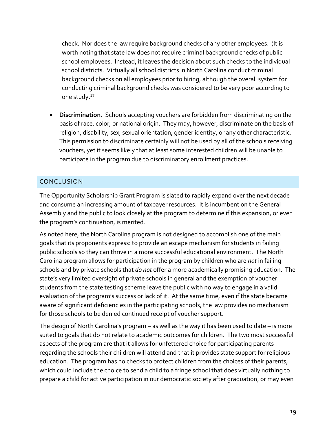check. Nor does the law require background checks of any other employees. (It is worth noting that state law does not require criminal background checks of public school employees. Instead, it leaves the decision about such checks to the individual school districts. Virtually all school districts in North Carolina conduct criminal background checks on all employees prior to hiring, although the overall system for conducting criminal background checks was considered to be very poor according to one study.<sup>27</sup>

 **Discrimination.** Schools accepting vouchers are forbidden from discriminating on the basis of race, color, or national origin. They may, however, discriminate on the basis of religion, disability, sex, sexual orientation, gender identity, or any other characteristic. This permission to discriminate certainly will not be used by all of the schools receiving vouchers, yet it seems likely that at least some interested children will be unable to participate in the program due to discriminatory enrollment practices.

# CONCLUSION

The Opportunity Scholarship Grant Program is slated to rapidly expand over the next decade and consume an increasing amount of taxpayer resources. It is incumbent on the General Assembly and the public to look closely at the program to determine if this expansion, or even the program's continuation, is merited.

As noted here, the North Carolina program is not designed to accomplish one of the main goals that its proponents express: to provide an escape mechanism for students in failing public schools so they can thrive in a more successful educational environment. The North Carolina program allows for participation in the program by children who are *not* in failing schools and by private schools that *do not* offer a more academically promising education. The state's very limited oversight of private schools in general and the exemption of voucher students from the state testing scheme leave the public with no way to engage in a valid evaluation of the program's success or lack of it. At the same time, even if the state became aware of significant deficiencies in the participating schools, the law provides no mechanism for those schools to be denied continued receipt of voucher support.

The design of North Carolina's program – as well as the way it has been used to date – is more suited to goals that do not relate to academic outcomes for children. The two most successful aspects of the program are that it allows for unfettered choice for participating parents regarding the schools their children will attend and that it provides state support for religious education. The program has no checks to protect children from the choices of their parents, which could include the choice to send a child to a fringe school that does virtually nothing to prepare a child for active participation in our democratic society after graduation, or may even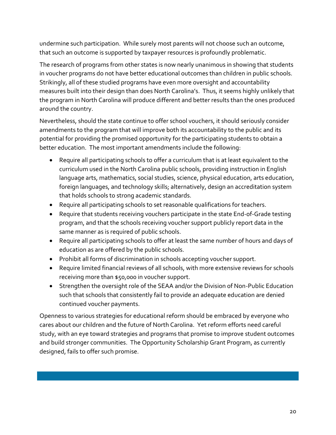undermine such participation. While surely most parents will not choose such an outcome, that such an outcome is supported by taxpayer resources is profoundly problematic.

The research of programs from other states is now nearly unanimous in showing that students in voucher programs do not have better educational outcomes than children in public schools. Strikingly, all of these studied programs have even more oversight and accountability measures built into their design than does North Carolina's. Thus, it seems highly unlikely that the program in North Carolina will produce different and better results than the ones produced around the country.

Nevertheless, should the state continue to offer school vouchers, it should seriously consider amendments to the program that will improve both its accountability to the public and its potential for providing the promised opportunity for the participating students to obtain a better education. The most important amendments include the following:

- Require all participating schools to offer a curriculum that is at least equivalent to the curriculum used in the North Carolina public schools, providing instruction in English language arts, mathematics, social studies, science, physical education, arts education, foreign languages, and technology skills; alternatively, design an accreditation system that holds schools to strong academic standards.
- Require all participating schools to set reasonable qualifications for teachers.
- Require that students receiving vouchers participate in the state End-of-Grade testing program, and that the schools receiving voucher support publicly report data in the same manner as is required of public schools.
- Require all participating schools to offer at least the same number of hours and days of education as are offered by the public schools.
- Prohibit all forms of discrimination in schools accepting voucher support.
- Require limited financial reviews of all schools, with more extensive reviews for schools receiving more than \$50,000 in voucher support.
- Strengthen the oversight role of the SEAA and/or the Division of Non-Public Education such that schools that consistently fail to provide an adequate education are denied continued voucher payments.

Openness to various strategies for educational reform should be embraced by everyone who cares about our children and the future of North Carolina. Yet reform efforts need careful study, with an eye toward strategies and programs that promise to improve student outcomes and build stronger communities. The Opportunity Scholarship Grant Program, as currently designed, fails to offer such promise.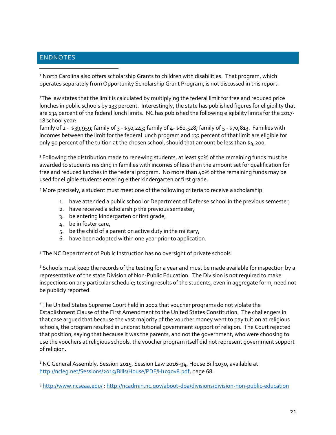#### ENDNOTES

 $\overline{a}$ 

<sup>1</sup> North Carolina also offers scholarship Grants to children with disabilities. That program, which operates separately from Opportunity Scholarship Grant Program, is not discussed in this report.

<sup>2</sup>The law states that the limit is calculated by multiplying the federal limit for free and reduced price lunches in public schools by 133 percent. Interestingly, the state has published figures for eligibility that are 134 percent of the federal lunch limits. NC has published the following eligibility limits for the 2017- 18 school year:

family of 2 - \$39,959; family of 3 - \$50,243; family of 4- \$60,528; family of 5 - \$70,813. Families with incomes between the limit for the federal lunch program and 133 percent of that limit are eligible for only 90 percent of the tuition at the chosen school, should that amount be less than \$4,200.

<sup>3</sup> Following the distribution made to renewing students, at least 50% of the remaining funds must be awarded to students residing in families with incomes of less than the amount set for qualification for free and reduced lunches in the federal program. No more than 40% of the remaining funds may be used for eligible students entering either kindergarten or first grade.

<sup>4</sup> More precisely, a student must meet one of the following criteria to receive a scholarship:

- 1. have attended a public school or Department of Defense school in the previous semester,
- 2. have received a scholarship the previous semester,
- 3. be entering kindergarten or first grade,
- 4. be in foster care,
- 5. be the child of a parent on active duty in the military,
- 6. have been adopted within one year prior to application.

<sup>5</sup> The NC Department of Public Instruction has no oversight of private schools.

 $6$  Schools must keep the records of the testing for a year and must be made available for inspection by a representative of the state Division of Non-Public Education. The Division is not required to make inspections on any particular schedule; testing results of the students, even in aggregate form, need not be publicly reported.

<sup>7</sup> The United States Supreme Court held in 2002 that voucher programs do not violate the Establishment Clause of the First Amendment to the United States Constitution. The challengers in that case argued that because the vast majority of the voucher money went to pay tuition at religious schools, the program resulted in unconstitutional government support of religion. The Court rejected that position, saying that because it was the parents, and not the government, who were choosing to use the vouchers at religious schools, the voucher program itself did not represent government support of religion.

<sup>8</sup> NC General Assembly, Session 2015, Session Law 2016-94, House Bill 1030, available at [http://ncleg.net/Sessions/2015/Bills/House/PDF/H1030v8.pdf,](http://ncleg.net/Sessions/2015/Bills/House/PDF/H1030v8.pdf) page 68.

<sup>9</sup> <http://www.ncseaa.edu/> ;<http://ncadmin.nc.gov/about-doa/divisions/division-non-public-education>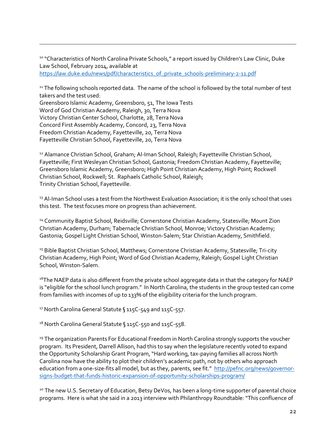<sup>10</sup> "Characteristics of North Carolina Private Schools," a report issued by Children's Law Clinic, Duke Law School, February 2014, available at [https://law.duke.edu/news/pdf/characteristics\\_of\\_private\\_schools-preliminary-2-11.pdf](https://law.duke.edu/news/pdf/characteristics_of_private_schools-preliminary-2-11.pdf)

<sup>11</sup> The following schools reported data. The name of the school is followed by the total number of test takers and the test used:

Greensboro Islamic Academy, Greensboro, 51, The Iowa Tests Word of God Christian Academy, Raleigh, 30, Terra Nova Victory Christian Center School, Charlotte, 28, Terra Nova Concord First Assembly Academy, Concord, 23, Terra Nova Freedom Christian Academy, Fayetteville, 20, Terra Nova Fayetteville Christian School, Fayetteville, 20, Terra Nova

 $\overline{a}$ 

<sup>12</sup> Alamance Christian School, Graham; Al-Iman School, Raleigh; Fayetteville Christian School, Fayetteville; First Wesleyan Christian School, Gastonia; Freedom Christian Academy, Fayetteville; Greensboro Islamic Academy, Greensboro; High Point Christian Academy, High Point; Rockwell Christian School, Rockwell; St. Raphaels Catholic School, Raleigh; Trinity Christian School, Fayetteville.

<sup>13</sup> Al-Iman School uses a test from the Northwest Evaluation Association; it is the only school that uses this test. The test focuses more on progress than achievement.

<sup>14</sup> Community Baptist School, Reidsville; Cornerstone Christian Academy, Statesville; Mount Zion Christian Academy, Durham; Tabernacle Christian School, Monroe; Victory Christian Academy; Gastonia; Gospel Light Christian School, Winston-Salem; Star Christian Academy, Smithfield.

<sup>15</sup> Bible Baptist Christian School, Matthews; Cornerstone Christian Academy, Statesville; Tri-city Christian Academy, High Point; Word of God Christian Academy, Raleigh; Gospel Light Christian School, Winston-Salem.

<sup>16</sup>The NAEP data is also different from the private school aggregate data in that the category for NAEP is "eligible for the school lunch program." In North Carolina, the students in the group tested can come from families with incomes of up to 133% of the eligibility criteria for the lunch program.

<sup>17</sup> North Carolina General Statute § 115C-549 and 115C-557.

18 North Carolina General Statute § 115C-550 and 115C-558.

<sup>19</sup> The organization Parents For Educational Freedom in North Carolina strongly supports the voucher program. Its President, Darrell Allison, had this to say when the legislature recently voted to expand the Opportunity Scholarship Grant Program, "Hard working, tax-paying families all across North Carolina now have the ability to plot their children's academic path, not by others who approach education from a one-size-fits all model, but as they, parents, see fit." [http://pefnc.org/news/governor](http://pefnc.org/news/governor-signs-budget-that-funds-historic-expansion-of-opportunity-scholarships-program/)[signs-budget-that-funds-historic-expansion-of-opportunity-scholarships-program/](http://pefnc.org/news/governor-signs-budget-that-funds-historic-expansion-of-opportunity-scholarships-program/)

<sup>20</sup> The new U.S. Secretary of Education, Betsy DeVos, has been a long-time supporter of parental choice programs. Here is what she said in a 2013 interview with Philanthropy Roundtable: "This confluence of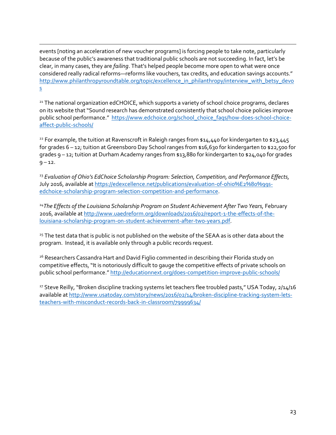$\overline{a}$ events [noting an acceleration of new voucher programs] is forcing people to take note, particularly because of the public's awareness that traditional public schools are not succeeding. In fact, let's be clear, in many cases, they are *failing*. That's helped people become more open to what were once considered really radical reforms—reforms like vouchers, tax credits, and education savings accounts." [http://www.philanthropyroundtable.org/topic/excellence\\_in\\_philanthropy/interview\\_with\\_betsy\\_devo](http://www.philanthropyroundtable.org/topic/excellence_in_philanthropy/interview_with_betsy_devos) [s](http://www.philanthropyroundtable.org/topic/excellence_in_philanthropy/interview_with_betsy_devos)

<sup>21</sup> The national organization edCHOICE, which supports a variety of school choice programs, declares on its website that "Sound research has demonstrated consistently that school choice policies improve public school performance." [https://www.edchoice.org/school\\_choice\\_faqs/how-does-school-choice](https://www.edchoice.org/school_choice_faqs/how-does-school-choice-affect-public-schools/)[affect-public-schools/](https://www.edchoice.org/school_choice_faqs/how-does-school-choice-affect-public-schools/)

<sup>22</sup> For example, the tuition at Ravenscroft in Raleigh ranges from \$14,440 for kindergarten to \$23,445 for grades 6 – 12; tuition at Greensboro Day School ranges from \$16,630 for kindergarten to \$22,500 for grades 9 – 12; tuition at Durham Academy ranges from \$13,880 for kindergarten to \$24,040 for grades  $9 - 12.$ 

<sup>23</sup> *Evaluation of Ohio's EdChoice Scholarship Program: Selection, Competition, and Performance Effects,* July 2016, available at [https://edexcellence.net/publications/evaluation-of-ohio%E2%80%99s](https://edexcellence.net/publications/evaluation-of-ohio%E2%80%99s-edchoice-scholarship-program-selection-competition-and-performance)[edchoice-scholarship-program-selection-competition-and-performance.](https://edexcellence.net/publications/evaluation-of-ohio%E2%80%99s-edchoice-scholarship-program-selection-competition-and-performance)

<sup>24</sup>The Effects of the Louisiana Scholarship Program on Student Achievement After Two Years, February 2016, available at [http://www.uaedreform.org/downloads/2016/02/report-1-the-effects-of-the](http://www.uaedreform.org/downloads/2016/02/report-1-the-effects-of-the-louisiana-scholarship-program-on-student-achievement-after-two-years.pdf)[louisiana-scholarship-program-on-student-achievement-after-two-years.pdf.](http://www.uaedreform.org/downloads/2016/02/report-1-the-effects-of-the-louisiana-scholarship-program-on-student-achievement-after-two-years.pdf)

<sup>25</sup> The test data that is public is not published on the website of the SEAA as is other data about the program. Instead, it is available only through a public records request.

<sup>26</sup> Researchers Cassandra Hart and David Figlio commented in describing their Florida study on competitive effects, "It is notoriously difficult to gauge the competitive effects of private schools on public school performance." <http://educationnext.org/does-competition-improve-public-schools/>

<sup>27</sup> Steve Reilly, "Broken discipline tracking systems let teachers flee troubled pasts," USA Today, 2/14/16 available at [http://www.usatoday.com/story/news/2016/02/14/broken-discipline-tracking-system-lets](http://www.usatoday.com/story/news/2016/02/14/broken-discipline-tracking-system-lets-teachers-with-misconduct-records-back-in-classroom/79999634/)[teachers-with-misconduct-records-back-in-classroom/79999634/](http://www.usatoday.com/story/news/2016/02/14/broken-discipline-tracking-system-lets-teachers-with-misconduct-records-back-in-classroom/79999634/)